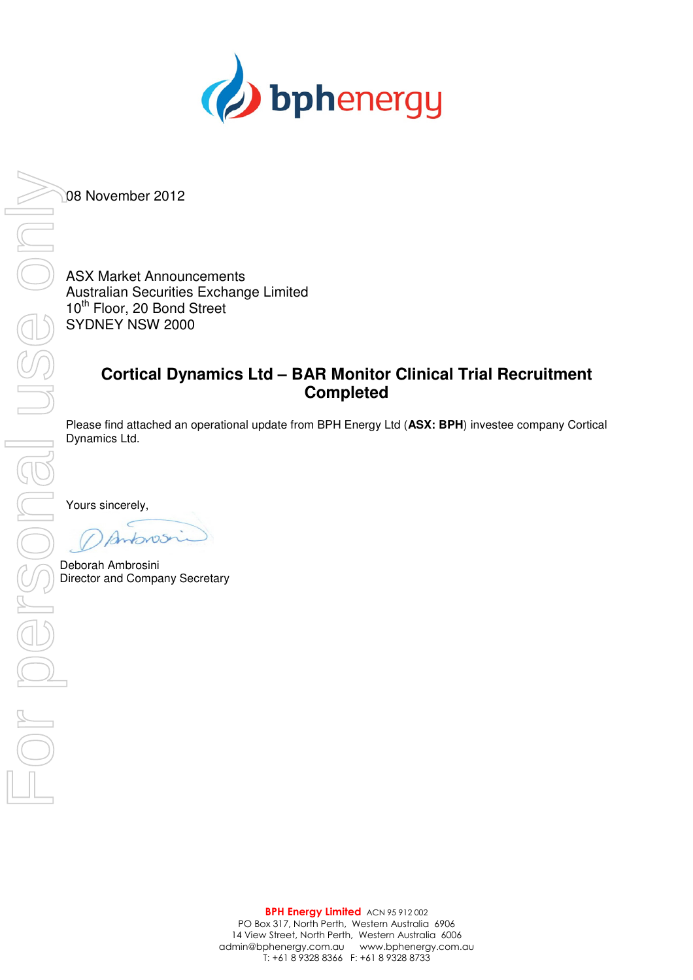

08 November 2012

ASX Market Announcements<br>Australian Securities Exchang<br>10<sup>th</sup> Floor, 20 Bond Street<br>SYDNEY NSW 2000 Australian Securities Exchange Limited 10<sup>th</sup> Floor, 20 Bond Street SYDNEY NSW 2000

## **Cortical Dynamics Ltd – BAR Monitor Clinical Trial Recruitment Completed**

Please find attached an operational update from BPH Energy Ltd (**ASX: BPH**) investee company Cortical Dynamics Ltd.

Yours sincerely,

Deborah Ambrosini<br>Director and Company Secretary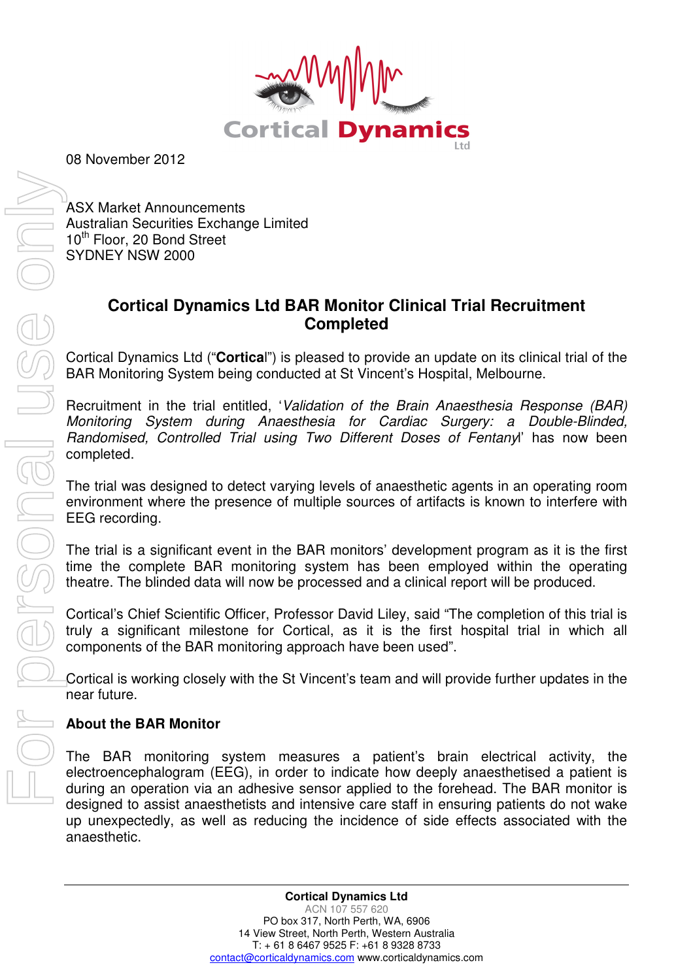

08 November 2012

ASX Market Announcements Australian Securities Exchange Limited 10<sup>th</sup> Floor, 20 Bond Street SYDNEY NSW 2000

## **Cortical Dynamics Ltd BAR Monitor Clinical Trial Recruitment Completed**

Cortical Dynamics Ltd ("**Cortica**l") is pleased to provide an update on its clinical trial of the BAR Monitoring System being conducted at St Vincent's Hospital, Melbourne.

Recruitment in the trial entitled, 'Validation of the Brain Anaesthesia Response (BAR) Monitoring System during Anaesthesia for Cardiac Surgery: a Double-Blinded, Randomised, Controlled Trial using Two Different Doses of Fentanyl' has now been completed.

The trial was designed to detect varying levels of anaesthetic agents in an operating room environment where the presence of multiple sources of artifacts is known to interfere with EEG recording.

The trial is a significant event in the BAR monitors' development program as it is the first time the complete BAR monitoring system has been employed within the operating theatre. The blinded data will now be processed and a clinical report will be produced.

Cortical's Chief Scientific Officer, Professor David Liley, said "The completion of this trial is truly a significant milestone for Cortical, as it is the first hospital trial in which all components of the BAR monitoring approach have been used".

Cortical is working closely with the St Vincent's team and will provide further updates in the near future.

## **About the BAR Monitor**

The BAR monitoring system measures a patient's brain electrical activity, the electroencephalogram (EEG), in order to indicate how deeply anaesthetised a patient is during an operation via an adhesive sensor applied to the forehead. The BAR monitor is designed to assist anaesthetists and intensive care staff in ensuring patients do not wake up unexpectedly, as well as reducing the incidence of side effects associated with the